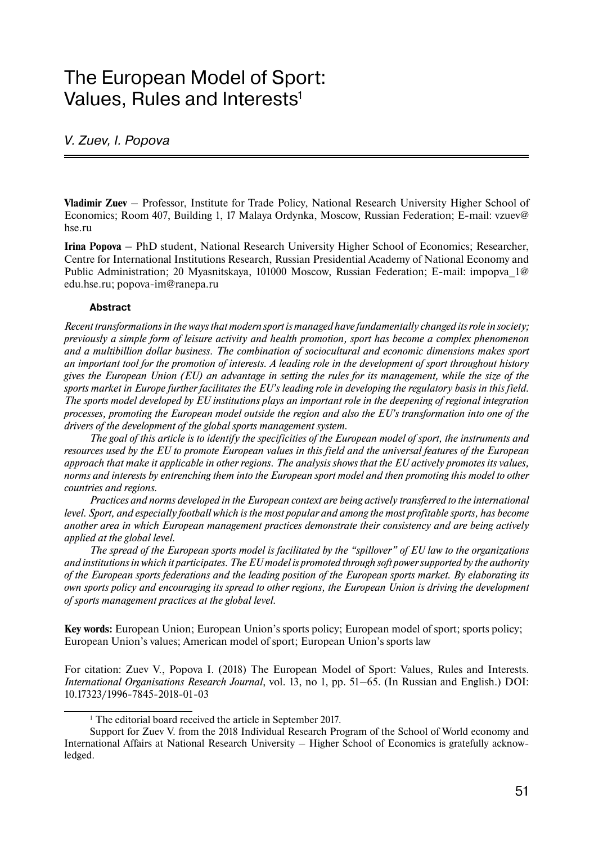# The European Model of Sport: Values, Rules and Interests<sup>1</sup>

#### V. Zuev, I. Popova

**Vladimir Zuev** – Professor, Institute for Trade Policy, National Research University Higher School of Economics; Room 407, Building 1, 17 Malaya Ordynka, Moscow, Russian Federation; E-mail: vzuev@ hse.ru

**Irina Popova** – PhD student, National Research University Higher School of Economics; Researcher, Centre for International Institutions Research, Russian Presidential Academy of National Economy and Public Administration; 20 Myasnitskaya, 101000 Moscow, Russian Federation; E-mail: impopya 1@ edu.hse.ru; popova-im@ranepa.ru

#### **Abstract**

*Recent transformations in the ways that modern sport is managed have fundamentally changed its role in society; previously a simple form of leisure activity and health promotion, sport has become a complex phenomenon and a multibillion dollar business. The combination of sociocultural and economic dimensions makes sport an important tool for the promotion of interests. A leading role in the development of sport throughout history gives the European Union (EU) an advantage in setting the rules for its management, while the size of the sports market in Europe further facilitates the EU's leading role in developing the regulatory basis in this field. The sports model developed by EU institutions plays an important role in the deepening of regional integration processes, promoting the European model outside the region and also the EU's transformation into one of the drivers of the development of the global sports management system.*

*The goal of this article is to identify the specificities of the European model of sport, the instruments and resources used by the EU to promote European values in this field and the universal features of the European approach that make it applicable in other regions. The analysis shows that the EU actively promotes its values, norms and interests by entrenching them into the European sport model and then promoting this model to other countries and regions.* 

*Practices and norms developed in the European context are being actively transferred to the international level. Sport, and especially football which is the most popular and among the most profitable sports, has become another area in which European management practices demonstrate their consistency and are being actively applied at the global level.*

*The spread of the European sports model is facilitated by the "spillover" of EU law to the organizations and institutions in which it participates. The EU model is promoted through soft power supported by the authority of the European sports federations and the leading position of the European sports market. By elaborating its own sports policy and encouraging its spread to other regions, the European Union is driving the development of sports management practices at the global level.*

**Key words:** European Union; European Union's sports policy; European model of sport; sports policy; European Union's values; American model of sport; European Union's sports law

For citation: Zuev V., Popova I. (2018) The European Model of Sport: Values, Rules and Interests. *International Organisations Research Journal*, vol. 13, no 1, pp. 51–65. (In Russian and English.) DOI: 10.17323/1996-7845-2018-01-03

<sup>&</sup>lt;sup>1</sup> The editorial board received the article in September 2017.

Support for Zuev V. from the 2018 Individual Research Program of the School of World economy and International Affairs at National Research University – Higher School of Economics is gratefully acknowledged.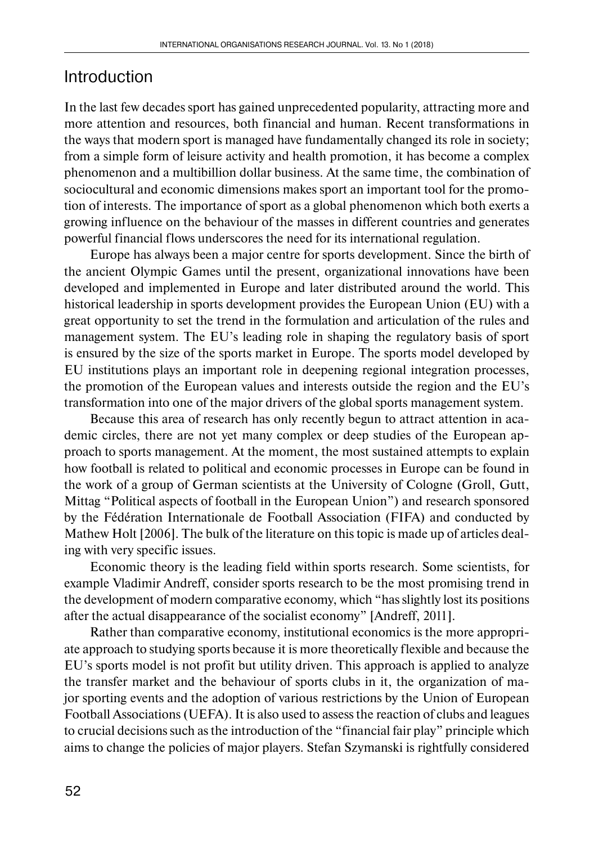#### Introduction

In the last few decades sport has gained unprecedented popularity, attracting more and more attention and resources, both financial and human. Recent transformations in the ways that modern sport is managed have fundamentally changed its role in society; from a simple form of leisure activity and health promotion, it has become a complex phenomenon and a multibillion dollar business. At the same time, the combination of sociocultural and economic dimensions makes sport an important tool for the promotion of interests. The importance of sport as a global phenomenon which both exerts a growing influence on the behaviour of the masses in different countries and generates powerful financial flows underscores the need for its international regulation.

Europe has always been a major centre for sports development. Since the birth of the ancient Olympic Games until the present, organizational innovations have been developed and implemented in Europe and later distributed around the world. This historical leadership in sports development provides the European Union (EU) with a great opportunity to set the trend in the formulation and articulation of the rules and management system. The EU's leading role in shaping the regulatory basis of sport is ensured by the size of the sports market in Europe. The sports model developed by EU institutions plays an important role in deepening regional integration processes, the promotion of the European values and interests outside the region and the EU's transformation into one of the major drivers of the global sports management system.

Because this area of research has only recently begun to attract attention in academic circles, there are not yet many complex or deep studies of the European approach to sports management. At the moment, the most sustained attempts to explain how football is related to political and economic processes in Europe can be found in the work of a group of German scientists at the University of Cologne (Groll, Gutt, Mittag "Political aspects of football in the European Union") and research sponsored by the Fédération Internationale de Football Association (FIFA) and conducted by Mathew Holt [2006]. The bulk of the literature on this topic is made up of articles dealing with very specific issues.

Economic theory is the leading field within sports research. Some scientists, for example Vladimir Andreff, consider sports research to be the most promising trend in the development of modern comparative economy, which "has slightly lost its positions after the actual disappearance of the socialist economy" [Andreff, 2011].

Rather than comparative economy, institutional economics is the more appropriate approach to studying sports because it is more theoretically flexible and because the EU's sports model is not profit but utility driven. This approach is applied to analyze the transfer market and the behaviour of sports clubs in it, the organization of major sporting events and the adoption of various restrictions by the Union of European Football Associations (UEFA). It is also used to assess the reaction of clubs and leagues to crucial decisions such as the introduction of the "financial fair play" principle which aims to change the policies of major players. Stefan Szymanski is rightfully considered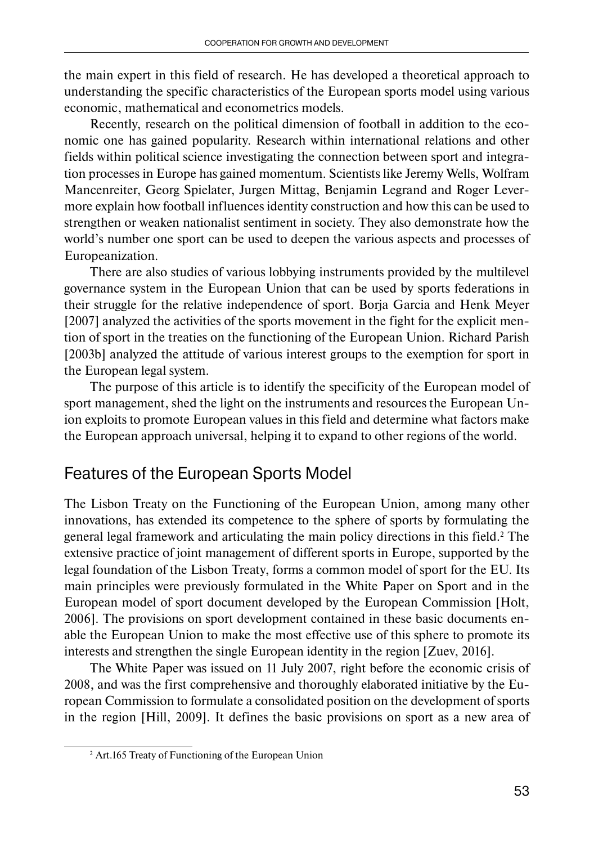the main expert in this field of research. He has developed a theoretical approach to understanding the specific characteristics of the European sports model using various economic, mathematical and econometrics models.

Recently, research on the political dimension of football in addition to the economic one has gained popularity. Research within international relations and other fields within political science investigating the connection between sport and integration processes in Europe has gained momentum. Scientists like Jeremy Wells, Wolfram Mancenreiter, Georg Spielater, Jurgen Mittag, Benjamin Legrand and Roger Levermore explain how football influences identity construction and how this can be used to strengthen or weaken nationalist sentiment in society. They also demonstrate how the world's number one sport can be used to deepen the various aspects and processes of Europeanization.

There are also studies of various lobbying instruments provided by the multilevel governance system in the European Union that can be used by sports federations in their struggle for the relative independence of sport. Borja Garcia and Henk Meyer [2007] analyzed the activities of the sports movement in the fight for the explicit mention of sport in the treaties on the functioning of the European Union. Richard Parish [2003b] analyzed the attitude of various interest groups to the exemption for sport in the European legal system.

The purpose of this article is to identify the specificity of the European model of sport management, shed the light on the instruments and resources the European Union exploits to promote European values in this field and determine what factors make the European approach universal, helping it to expand to other regions of the world.

### Features of the European Sports Model

The Lisbon Treaty on the Functioning of the European Union, among many other innovations, has extended its competence to the sphere of sports by formulating the general legal framework and articulating the main policy directions in this field.<sup>2</sup> The extensive practice of joint management of different sports in Europe, supported by the legal foundation of the Lisbon Treaty, forms a common model of sport for the EU. Its main principles were previously formulated in the White Paper on Sport and in the European model of sport document developed by the European Commission [Holt, 2006]. The provisions on sport development contained in these basic documents enable the European Union to make the most effective use of this sphere to promote its interests and strengthen the single European identity in the region [Zuev, 2016].

The White Paper was issued on 11 July 2007, right before the economic crisis of 2008, and was the first comprehensive and thoroughly elaborated initiative by the European Commission to formulate a consolidated position on the development of sports in the region [Hill, 2009]. It defines the basic provisions on sport as a new area of

<sup>2</sup> Art.165 Treaty of Functioning of the European Union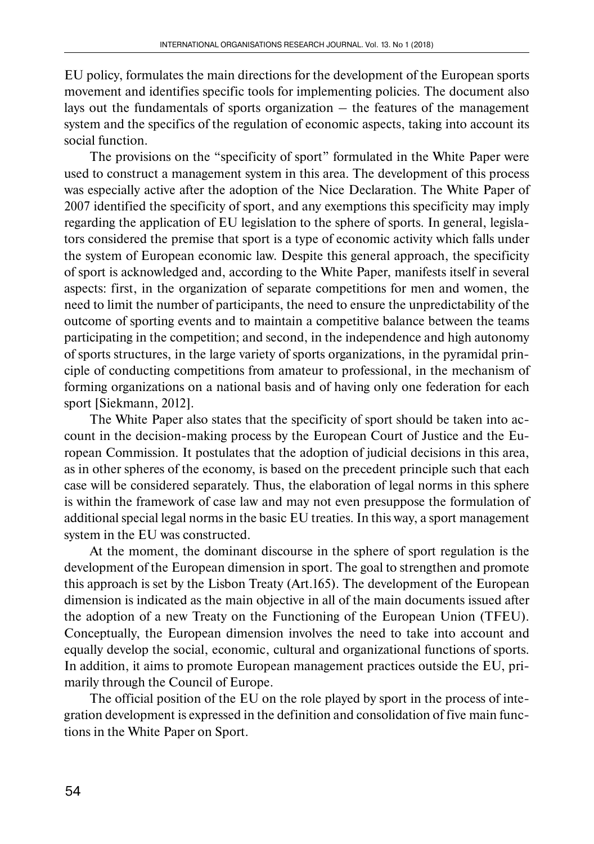EU policy, formulates the main directions for the development of the European sports movement and identifies specific tools for implementing policies. The document also lays out the fundamentals of sports organization  $-$  the features of the management system and the specifics of the regulation of economic aspects, taking into account its social function.

The provisions on the "specificity of sport" formulated in the White Paper were used to construct a management system in this area. The development of this process was especially active after the adoption of the Nice Declaration. The White Paper of 2007 identified the specificity of sport, and any exemptions this specificity may imply regarding the application of EU legislation to the sphere of sports. In general, legislators considered the premise that sport is a type of economic activity which falls under the system of European economic law. Despite this general approach, the specificity of sport is acknowledged and, according to the White Paper, manifests itself in several aspects: first, in the organization of separate competitions for men and women, the need to limit the number of participants, the need to ensure the unpredictability of the outcome of sporting events and to maintain a competitive balance between the teams participating in the competition; and second, in the independence and high autonomy of sports structures, in the large variety of sports organizations, in the pyramidal principle of conducting competitions from amateur to professional, in the mechanism of forming organizations on a national basis and of having only one federation for each sport [Siekmann, 2012].

The White Paper also states that the specificity of sport should be taken into account in the decision-making process by the European Court of Justice and the European Commission. It postulates that the adoption of judicial decisions in this area, as in other spheres of the economy, is based on the precedent principle such that each case will be considered separately. Thus, the elaboration of legal norms in this sphere is within the framework of case law and may not even presuppose the formulation of additional special legal norms in the basic EU treaties. In this way, a sport management system in the EU was constructed.

At the moment, the dominant discourse in the sphere of sport regulation is the development of the European dimension in sport. The goal to strengthen and promote this approach is set by the Lisbon Treaty (Art.165). The development of the European dimension is indicated as the main objective in all of the main documents issued after the adoption of a new Treaty on the Functioning of the European Union (TFEU). Conceptually, the European dimension involves the need to take into account and equally develop the social, economic, cultural and organizational functions of sports. In addition, it aims to promote European management practices outside the EU, primarily through the Council of Europe.

The official position of the EU on the role played by sport in the process of integration development is expressed in the definition and consolidation of five main functions in the White Paper on Sport.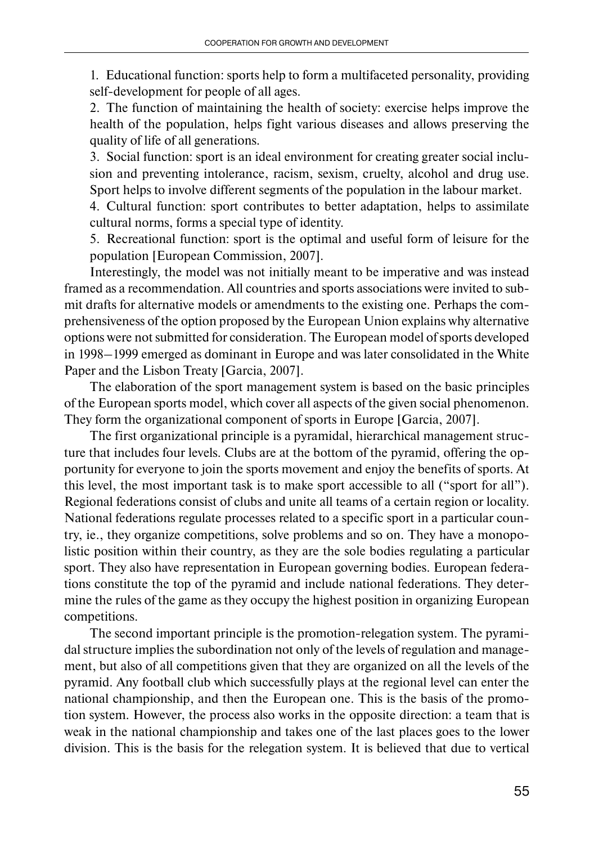1. Educational function: sports help to form a multifaceted personality, providing self-development for people of all ages.

2. The function of maintaining the health of society: exercise helps improve the health of the population, helps fight various diseases and allows preserving the quality of life of all generations.

3. Social function: sport is an ideal environment for creating greater social inclusion and preventing intolerance, racism, sexism, cruelty, alcohol and drug use. Sport helps to involve different segments of the population in the labour market.

4. Cultural function: sport contributes to better adaptation, helps to assimilate cultural norms, forms a special type of identity.

5. Recreational function: sport is the optimal and useful form of leisure for the population [European Commission, 2007].

Interestingly, the model was not initially meant to be imperative and was instead framed as a recommendation. All countries and sports associations were invited to submit drafts for alternative models or amendments to the existing one. Perhaps the comprehensiveness of the option proposed by the European Union explains why alternative options were not submitted for consideration. The European model of sports developed in 1998–1999 emerged as dominant in Europe and was later consolidated in the White Paper and the Lisbon Treaty [Garcia, 2007].

The elaboration of the sport management system is based on the basic principles of the European sports model, which cover all aspects of the given social phenomenon. They form the organizational component of sports in Europe [Garcia, 2007].

The first organizational principle is a pyramidal, hierarchical management structure that includes four levels. Clubs are at the bottom of the pyramid, offering the opportunity for everyone to join the sports movement and enjoy the benefits of sports. At this level, the most important task is to make sport accessible to all ("sport for all"). Regional federations consist of clubs and unite all teams of a certain region or locality. National federations regulate processes related to a specific sport in a particular country, ie., they organize competitions, solve problems and so on. They have a monopolistic position within their country, as they are the sole bodies regulating a particular sport. They also have representation in European governing bodies. European federations constitute the top of the pyramid and include national federations. They determine the rules of the game as they occupy the highest position in organizing European competitions.

The second important principle is the promotion-relegation system. The pyramidal structure implies the subordination not only of the levels of regulation and management, but also of all competitions given that they are organized on all the levels of the pyramid. Any football club which successfully plays at the regional level can enter the national championship, and then the European one. This is the basis of the promotion system. However, the process also works in the opposite direction: a team that is weak in the national championship and takes one of the last places goes to the lower division. This is the basis for the relegation system. It is believed that due to vertical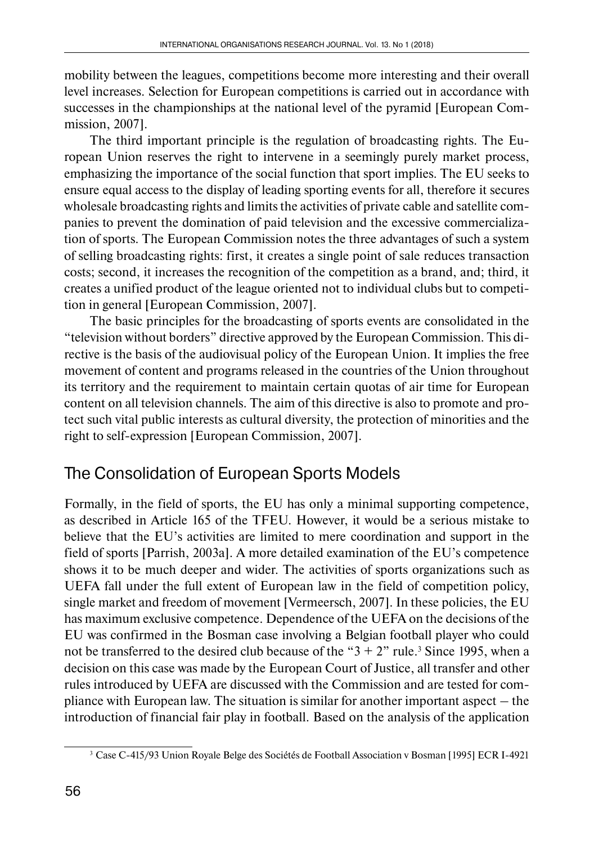mobility between the leagues, competitions become more interesting and their overall level increases. Selection for European competitions is carried out in accordance with successes in the championships at the national level of the pyramid [European Commission, 2007].

The third important principle is the regulation of broadcasting rights. The European Union reserves the right to intervene in a seemingly purely market process, emphasizing the importance of the social function that sport implies. The EU seeks to ensure equal access to the display of leading sporting events for all, therefore it secures wholesale broadcasting rights and limits the activities of private cable and satellite companies to prevent the domination of paid television and the excessive commercialization of sports. The European Commission notes the three advantages of such a system of selling broadcasting rights: first, it creates a single point of sale reduces transaction costs; second, it increases the recognition of the competition as a brand, and; third, it creates a unified product of the league oriented not to individual clubs but to competition in general [European Commission, 2007].

The basic principles for the broadcasting of sports events are consolidated in the "television without borders" directive approved by the European Commission. This directive is the basis of the audiovisual policy of the European Union. It implies the free movement of content and programs released in the countries of the Union throughout its territory and the requirement to maintain certain quotas of air time for European content on all television channels. The aim of this directive is also to promote and protect such vital public interests as cultural diversity, the protection of minorities and the right to self-expression [European Commission, 2007].

# The Consolidation of European Sports Models

Formally, in the field of sports, the EU has only a minimal supporting competence, as described in Article 165 of the TFEU. However, it would be a serious mistake to believe that the EU's activities are limited to mere coordination and support in the field of sports [Parrish, 2003a]. A more detailed examination of the EU's competence shows it to be much deeper and wider. The activities of sports organizations such as UEFA fall under the full extent of European law in the field of competition policy, single market and freedom of movement [Vermeersch, 2007]. In these policies, the EU has maximum exclusive competence. Dependence of the UEFA on the decisions of the EU was confirmed in the Bosman case involving a Belgian football player who could not be transferred to the desired club because of the " $3 + 2$ " rule.<sup>3</sup> Since 1995, when a decision on this case was made by the European Court of Justice, all transfer and other rules introduced by UEFA are discussed with the Commission and are tested for compliance with European law. The situation is similar for another important aspect – the introduction of financial fair play in football. Based on the analysis of the application

<sup>3</sup> Case C-415/93 Union Royale Belge des Sociétés de Football Association v Bosman [1995] ECR I-4921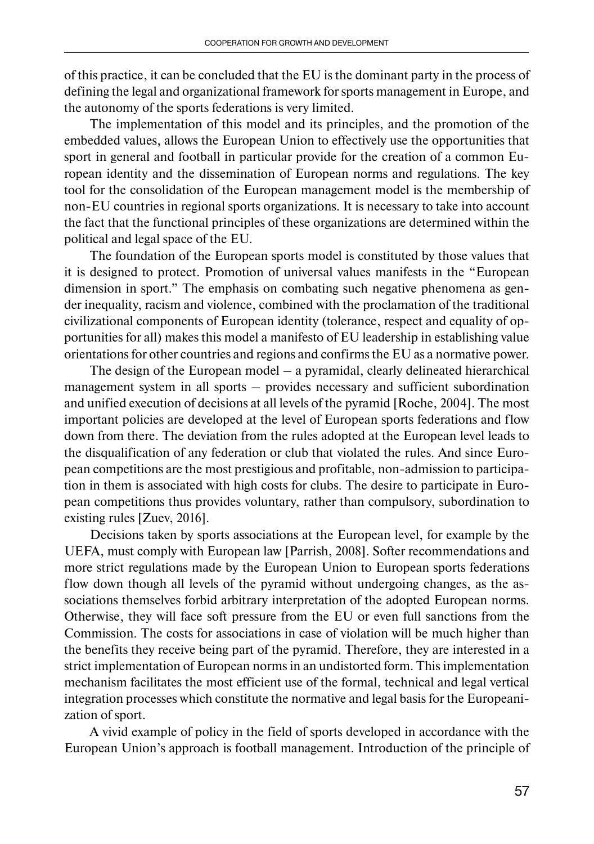of this practice, it can be concluded that the EU is the dominant party in the process of defining the legal and organizational framework for sports management in Europe, and the autonomy of the sports federations is very limited.

The implementation of this model and its principles, and the promotion of the embedded values, allows the European Union to effectively use the opportunities that sport in general and football in particular provide for the creation of a common European identity and the dissemination of European norms and regulations. The key tool for the consolidation of the European management model is the membership of non-EU countries in regional sports organizations. It is necessary to take into account the fact that the functional principles of these organizations are determined within the political and legal space of the EU.

The foundation of the European sports model is constituted by those values that it is designed to protect. Promotion of universal values manifests in the "European dimension in sport." The emphasis on combating such negative phenomena as gender inequality, racism and violence, combined with the proclamation of the traditional civilizational components of European identity (tolerance, respect and equality of opportunities for all) makes this model a manifesto of EU leadership in establishing value orientations for other countries and regions and confirms the EU as a normative power.

The design of the European model – a pyramidal, clearly delineated hierarchical management system in all sports – provides necessary and sufficient subordination and unified execution of decisions at all levels of the pyramid [Roche, 2004]. The most important policies are developed at the level of European sports federations and flow down from there. The deviation from the rules adopted at the European level leads to the disqualification of any federation or club that violated the rules. And since European competitions are the most prestigious and profitable, non-admission to participation in them is associated with high costs for clubs. The desire to participate in European competitions thus provides voluntary, rather than compulsory, subordination to existing rules [Zuev, 2016].

Decisions taken by sports associations at the European level, for example by the UEFA, must comply with European law [Parrish, 2008]. Softer recommendations and more strict regulations made by the European Union to European sports federations flow down though all levels of the pyramid without undergoing changes, as the associations themselves forbid arbitrary interpretation of the adopted European norms. Otherwise, they will face soft pressure from the EU or even full sanctions from the Commission. The costs for associations in case of violation will be much higher than the benefits they receive being part of the pyramid. Therefore, they are interested in a strict implementation of European norms in an undistorted form. This implementation mechanism facilitates the most efficient use of the formal, technical and legal vertical integration processes which constitute the normative and legal basis for the Europeanization of sport.

A vivid example of policy in the field of sports developed in accordance with the European Union's approach is football management. Introduction of the principle of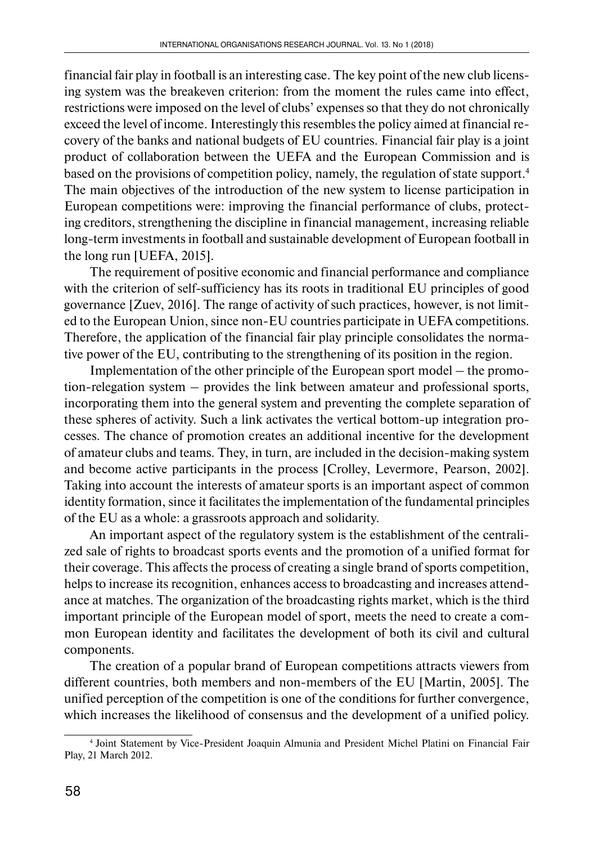financial fair play in football is an interesting case. The key point of the new club licensing system was the breakeven criterion: from the moment the rules came into effect, restrictions were imposed on the level of clubs' expenses so that they do not chronically exceed the level of income. Interestingly this resembles the policy aimed at financial recovery of the banks and national budgets of EU countries. Financial fair play is a joint product of collaboration between the UEFA and the European Commission and is based on the provisions of competition policy, namely, the regulation of state support.4 The main objectives of the introduction of the new system to license participation in European competitions were: improving the financial performance of clubs, protecting creditors, strengthening the discipline in financial management, increasing reliable long-term investments in football and sustainable development of European football in the long run [UEFA, 2015].

The requirement of positive economic and financial performance and compliance with the criterion of self-sufficiency has its roots in traditional EU principles of good governance [Zuev, 2016]. The range of activity of such practices, however, is not limited to the European Union, since non-EU countries participate in UEFA competitions. Therefore, the application of the financial fair play principle consolidates the normative power of the EU, contributing to the strengthening of its position in the region.

Implementation of the other principle of the European sport model – the promotion-relegation system – provides the link between amateur and professional sports, incorporating them into the general system and preventing the complete separation of these spheres of activity. Such a link activates the vertical bottom-up integration processes. The chance of promotion creates an additional incentive for the development of amateur clubs and teams. They, in turn, are included in the decision-making system and become active participants in the process [Crolley, Levermore, Pearson, 2002]. Taking into account the interests of amateur sports is an important aspect of common identity formation, since it facilitates the implementation of the fundamental principles of the EU as a whole: a grassroots approach and solidarity.

An important aspect of the regulatory system is the establishment of the centralized sale of rights to broadcast sports events and the promotion of a unified format for their coverage. This affects the process of creating a single brand of sports competition, helps to increase its recognition, enhances access to broadcasting and increases attendance at matches. The organization of the broadcasting rights market, which is the third important principle of the European model of sport, meets the need to create a common European identity and facilitates the development of both its civil and cultural components.

The creation of a popular brand of European competitions attracts viewers from different countries, both members and non-members of the EU [Martin, 2005]. The unified perception of the competition is one of the conditions for further convergence, which increases the likelihood of consensus and the development of a unified policy.

<sup>4</sup> Joint Statement by Vice-President Joaquin Almunia and President Michel Platini on Financial Fair Play, 21 March 2012.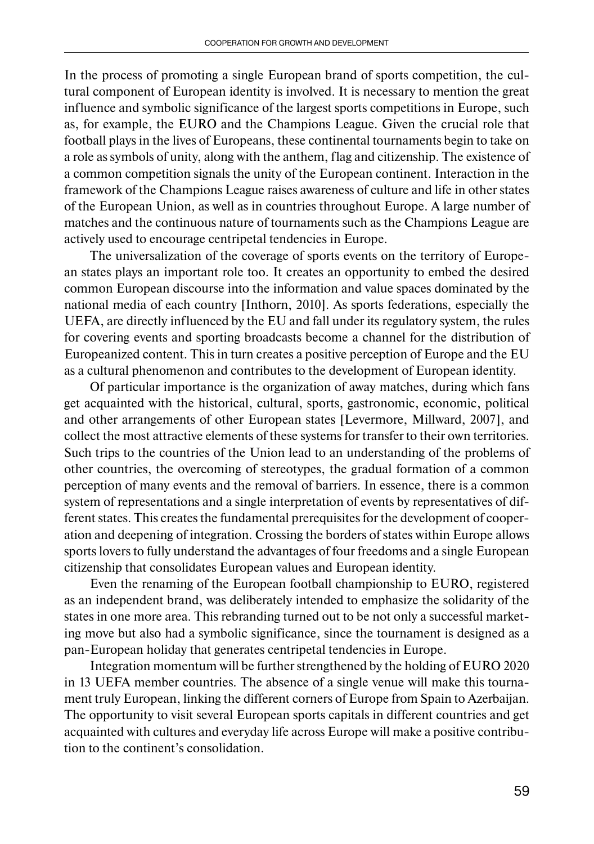In the process of promoting a single European brand of sports competition, the cultural component of European identity is involved. It is necessary to mention the great influence and symbolic significance of the largest sports competitions in Europe, such as, for example, the EURO and the Champions League. Given the crucial role that football plays in the lives of Europeans, these continental tournaments begin to take on a role as symbols of unity, along with the anthem, flag and citizenship. The existence of a common competition signals the unity of the European continent. Interaction in the framework of the Champions League raises awareness of culture and life in other states of the European Union, as well as in countries throughout Europe. A large number of matches and the continuous nature of tournaments such as the Champions League are actively used to encourage centripetal tendencies in Europe.

The universalization of the coverage of sports events on the territory of European states plays an important role too. It creates an opportunity to embed the desired common European discourse into the information and value spaces dominated by the national media of each country [Inthorn, 2010]. As sports federations, especially the UEFA, are directly influenced by the EU and fall under its regulatory system, the rules for covering events and sporting broadcasts become a channel for the distribution of Europeanized content. This in turn creates a positive perception of Europe and the EU as a cultural phenomenon and contributes to the development of European identity.

Of particular importance is the organization of away matches, during which fans get acquainted with the historical, cultural, sports, gastronomic, economic, political and other arrangements of other European states [Levermore, Millward, 2007], and collect the most attractive elements of these systems for transfer to their own territories. Such trips to the countries of the Union lead to an understanding of the problems of other countries, the overcoming of stereotypes, the gradual formation of a common perception of many events and the removal of barriers. In essence, there is a common system of representations and a single interpretation of events by representatives of different states. This creates the fundamental prerequisites for the development of cooperation and deepening of integration. Crossing the borders of states within Europe allows sports lovers to fully understand the advantages of four freedoms and a single European citizenship that consolidates European values and European identity.

Even the renaming of the European football championship to EURO, registered as an independent brand, was deliberately intended to emphasize the solidarity of the states in one more area. This rebranding turned out to be not only a successful marketing move but also had a symbolic significance, since the tournament is designed as a pan-European holiday that generates centripetal tendencies in Europe.

Integration momentum will be further strengthened by the holding of EURO 2020 in 13 UEFA member countries. The absence of a single venue will make this tournament truly European, linking the different corners of Europe from Spain to Azerbaijan. The opportunity to visit several European sports capitals in different countries and get acquainted with cultures and everyday life across Europe will make a positive contribution to the continent's consolidation.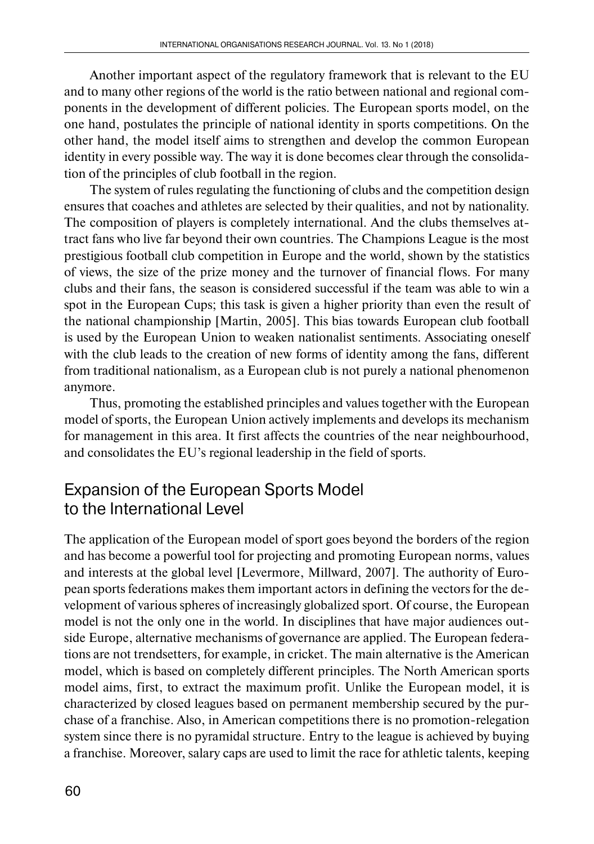Another important aspect of the regulatory framework that is relevant to the EU and to many other regions of the world is the ratio between national and regional components in the development of different policies. The European sports model, on the one hand, postulates the principle of national identity in sports competitions. On the other hand, the model itself aims to strengthen and develop the common European identity in every possible way. The way it is done becomes clear through the consolidation of the principles of club football in the region.

The system of rules regulating the functioning of clubs and the competition design ensures that coaches and athletes are selected by their qualities, and not by nationality. The composition of players is completely international. And the clubs themselves attract fans who live far beyond their own countries. The Champions League is the most prestigious football club competition in Europe and the world, shown by the statistics of views, the size of the prize money and the turnover of financial flows. For many clubs and their fans, the season is considered successful if the team was able to win a spot in the European Cups; this task is given a higher priority than even the result of the national championship [Martin, 2005]. This bias towards European club football is used by the European Union to weaken nationalist sentiments. Associating oneself with the club leads to the creation of new forms of identity among the fans, different from traditional nationalism, as a European club is not purely a national phenomenon anymore.

Thus, promoting the established principles and values together with the European model of sports, the European Union actively implements and develops its mechanism for management in this area. It first affects the countries of the near neighbourhood, and consolidates the EU's regional leadership in the field of sports.

### Expansion of the European Sports Model to the International Level

The application of the European model of sport goes beyond the borders of the region and has become a powerful tool for projecting and promoting European norms, values and interests at the global level [Levermore, Millward, 2007]. The authority of European sports federations makes them important actors in defining the vectors for the development of various spheres of increasingly globalized sport. Of course, the European model is not the only one in the world. In disciplines that have major audiences outside Europe, alternative mechanisms of governance are applied. The European federations are not trendsetters, for example, in cricket. The main alternative is the American model, which is based on completely different principles. The North American sports model aims, first, to extract the maximum profit. Unlike the European model, it is characterized by closed leagues based on permanent membership secured by the purchase of a franchise. Also, in American competitions there is no promotion-relegation system since there is no pyramidal structure. Entry to the league is achieved by buying a franchise. Moreover, salary caps are used to limit the race for athletic talents, keeping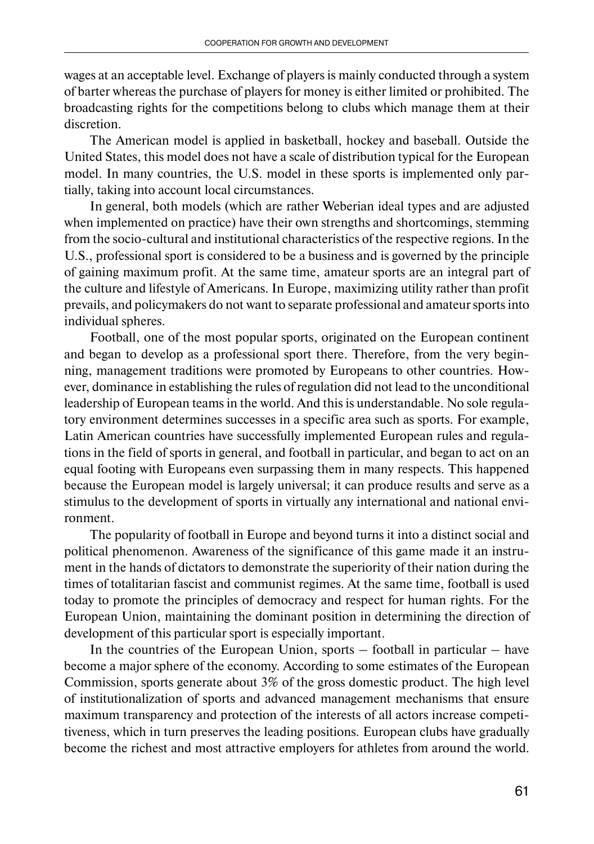wages at an acceptable level. Exchange of players is mainly conducted through a system of barter whereas the purchase of players for money is either limited or prohibited. The broadcasting rights for the competitions belong to clubs which manage them at their discretion.

The American model is applied in basketball, hockey and baseball. Outside the United States, this model does not have a scale of distribution typical for the European model. In many countries, the U.S. model in these sports is implemented only partially, taking into account local circumstances.

In general, both models (which are rather Weberian ideal types and are adjusted when implemented on practice) have their own strengths and shortcomings, stemming from the socio-cultural and institutional characteristics of the respective regions. In the U.S., professional sport is considered to be a business and is governed by the principle of gaining maximum profit. At the same time, amateur sports are an integral part of the culture and lifestyle of Americans. In Europe, maximizing utility rather than profit prevails, and policymakers do not want to separate professional and amateur sports into individual spheres.

Football, one of the most popular sports, originated on the European continent and began to develop as a professional sport there. Therefore, from the very beginning, management traditions were promoted by Europeans to other countries. However, dominance in establishing the rules of regulation did not lead to the unconditional leadership of European teams in the world. And this is understandable. No sole regulatory environment determines successes in a specific area such as sports. For example, Latin American countries have successfully implemented European rules and regulations in the field of sports in general, and football in particular, and began to act on an equal footing with Europeans even surpassing them in many respects. This happened because the European model is largely universal; it can produce results and serve as a stimulus to the development of sports in virtually any international and national environment.

The popularity of football in Europe and beyond turns it into a distinct social and political phenomenon. Awareness of the significance of this game made it an instrument in the hands of dictators to demonstrate the superiority of their nation during the times of totalitarian fascist and communist regimes. At the same time, football is used today to promote the principles of democracy and respect for human rights. For the European Union, maintaining the dominant position in determining the direction of development of this particular sport is especially important.

In the countries of the European Union, sports – football in particular – have become a major sphere of the economy. According to some estimates of the European Commission, sports generate about 3% of the gross domestic product. The high level of institutionalization of sports and advanced management mechanisms that ensure maximum transparency and protection of the interests of all actors increase competitiveness, which in turn preserves the leading positions. European clubs have gradually become the richest and most attractive employers for athletes from around the world.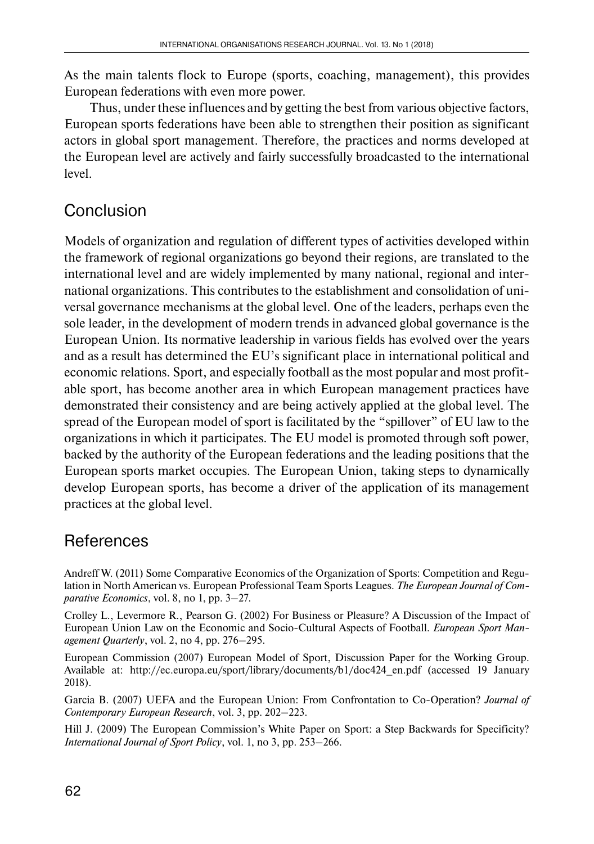As the main talents flock to Europe (sports, coaching, management), this provides European federations with even more power.

Thus, under these influences and by getting the best from various objective factors, European sports federations have been able to strengthen their position as significant actors in global sport management. Therefore, the practices and norms developed at the European level are actively and fairly successfully broadcasted to the international level.

# **Conclusion**

Models of organization and regulation of different types of activities developed within the framework of regional organizations go beyond their regions, are translated to the international level and are widely implemented by many national, regional and international organizations. This contributes to the establishment and consolidation of universal governance mechanisms at the global level. One of the leaders, perhaps even the sole leader, in the development of modern trends in advanced global governance is the European Union. Its normative leadership in various fields has evolved over the years and as a result has determined the EU's significant place in international political and economic relations. Sport, and especially football as the most popular and most profitable sport, has become another area in which European management practices have demonstrated their consistency and are being actively applied at the global level. The spread of the European model of sport is facilitated by the "spillover" of EU law to the organizations in which it participates. The EU model is promoted through soft power, backed by the authority of the European federations and the leading positions that the European sports market occupies. The European Union, taking steps to dynamically develop European sports, has become a driver of the application of its management practices at the global level.

# **References**

Andreff W. (2011) Some Comparative Economics of the Organization of Sports: Competition and Regulation in North American vs. European Professional Team Sports Leagues. *The European Journal of Comparative Economics*, vol. 8, no 1, pp. 3–27.

Crolley L., Levermore R., Pearson G. (2002) For Business or Pleasure? A Discussion of the Impact of European Union Law on the Economic and Socio‐Cultural Aspects of Football. *European Sport Management Quarterly*, vol. 2, no 4, pp. 276–295.

European Commission (2007) European Model of Sport, Discussion Paper for the Working Group. Available at: http://ec.europa.eu/sport/library/documents/b1/doc424\_en.pdf (accessed 19 January 2018).

Garcia B. (2007) UEFA and the European Union: From Confrontation to Co-Operation? *Journal of Contemporary European Research*, vol. 3, pp. 202–223.

Hill J. (2009) The European Commission's White Paper on Sport: a Step Backwards for Specificity? *International Journal of Sport Policy*, vol. 1, no 3, pp. 253–266.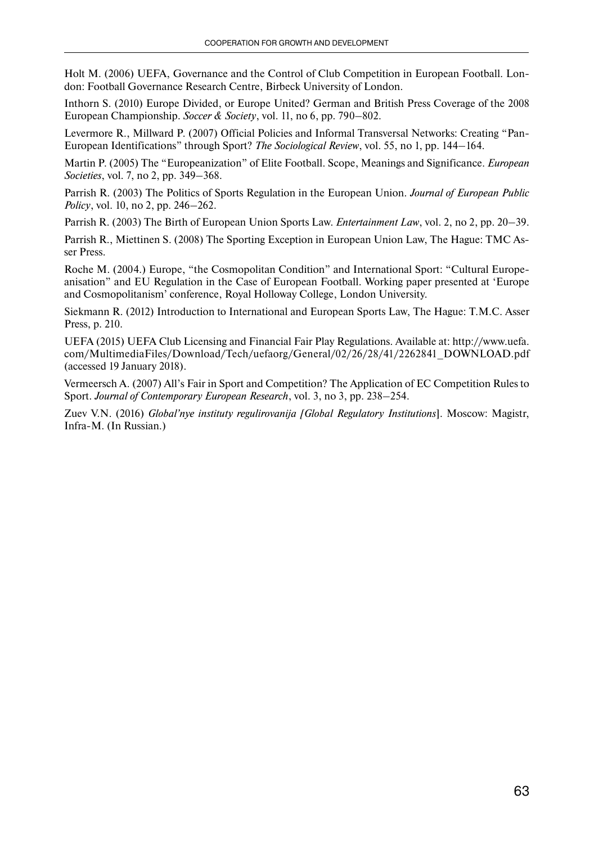Holt M. (2006) UEFA, Governance and the Control of Club Competition in European Football. London: Football Governance Research Centre, Birbeck University of London.

Inthorn S. (2010) Europe Divided, or Europe United? German and British Press Coverage of the 2008 European Championship. *Soccer & Society*, vol. 11, no 6, pp. 790–802.

Levermore R., Millward P. (2007) Official Policies and Informal Transversal Networks: Creating "Pan-European Identifications" through Sport? *The Sociological Review*, vol. 55, no 1, pp. 144–164.

Martin P. (2005) The "Europeanization" of Elite Football. Scope, Meanings and Significance. *European Societies*, vol. 7, no 2, pp. 349–368.

Parrish R. (2003) The Politics of Sports Regulation in the European Union. *Journal of European Public Policy*, vol. 10, no 2, pp. 246–262.

Parrish R. (2003) The Birth of European Union Sports Law. *Entertainment Law*, vol. 2, no 2, pp. 20–39.

Parrish R., Miettinen S. (2008) The Sporting Exception in European Union Law, The Hague: TMC Asser Press.

Roche M. (2004.) Europe, "the Cosmopolitan Condition" and International Sport: "Cultural Europeanisation" and EU Regulation in the Case of European Football. Working paper presented at 'Europe and Cosmopolitanism' conference, Royal Holloway College, London University.

Siekmann R. (2012) Introduction to International and European Sports Law, The Hague: T.M.C. Asser Press, p. 210.

UEFA (2015) UEFA Club Licensing and Financial Fair Play Regulations. Available at: http://www.uefa. com/MultimediaFiles/Download/Tech/uefaorg/General/02/26/28/41/2262841\_DOWNLOAD.pdf  $(accessed 19 January 2018).$ 

Vermeersch A. (2007) All's Fair in Sport and Competition? The Application of EC Competition Rules to Sport. *Journal of Contemporary European Research*, vol. 3, no 3, pp. 238–254.

Zuev V.N. (2016) *Global'nye instituty regulirovanija [Global Regulatory Institutions*]. Moscow: Magistr, Infra-M. (In Russian.)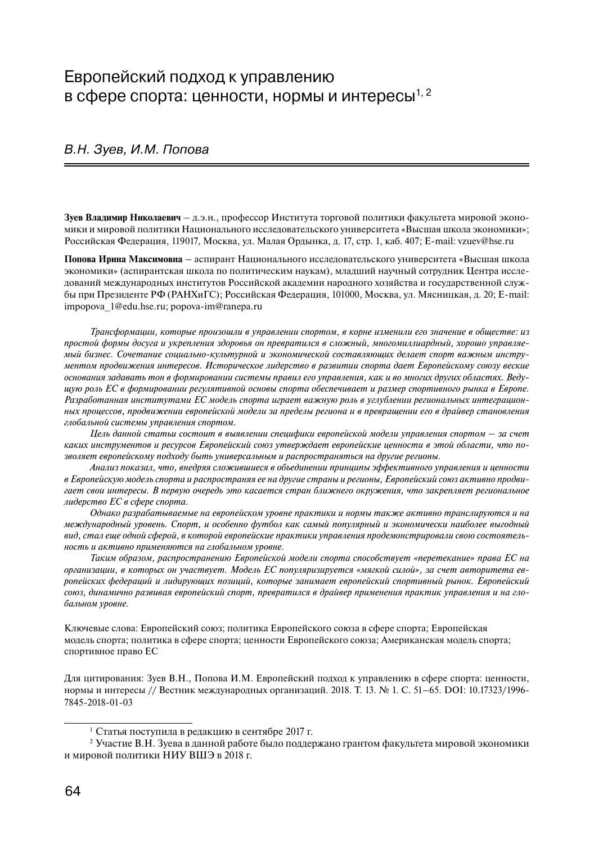#### Европейский подход к управлению в сфере спорта: ценности, нормы и интересы<sup>1, 2</sup>

#### В.Н. Зуев, И.М. Попова

**Зуев Владимир Николаевич** – д.э.н., профессор Института торговой политики факультета мировой экономики и мировой политики Национального исследовательского университета «Высшая школа экономики»; Российская Федерация, 119017, Москва, ул. Малая Ордынка, д. 17, стр. 1, каб. 407; E-mail: vzuev@hse.ru

**Попова Ирина Максимовна** – аспирант Национального исследовательского университета «Высшая школа экономики» (аспирантская школа по политическим наукам), младший научный сотрудник Центра исследований международных институтов Российской академии народного хозяйства и государственной службы при Президенте РФ (РАНХиГС); Российская Федерация, 101000, Москва, ул. Мясницкая, д. 20; E-mail: impopova\_1@edu.hse.ru; popova-im@ranepa.ru

*Трансформации, которые произошли в управлении спортом, в корне изменили его значение в обществе: из простой формы досуга и укрепления здоровья он превратился в сложный, многомиллиардный, хорошо управляемый бизнес. Сочетание социально-культурной и экономической составляющих делает спорт важным инструментом продвижения интересов. Историческое лидерство в развитии спорта дает Европейскому союзу веские основания задавать тон в формировании системы правил его управления, как и во многих других областях. Ведущую роль ЕС в формировании регулятивной основы спорта обеспечивает и размер спортивного рынка в Европе. Разработанная институтами ЕС модель спорта играет важную роль в углублении региональных интеграционных процессов, продвижении европейской модели за пределы региона и в превращении его в драйвер становления глобальной системы управления спортом.*

*Цель данной статьи состоит в выявлении специфики европейской модели управления спортом – за счет каких инструментов и ресурсов Европейский союз утверждает европейские ценности в этой области, что позволяет европейскому подходу быть универсальным и распространяться на другие регионы.*

*Анализ показал, что, внедряя сложившиеся в объединении принципы эффективного управления и ценности в Европейскую модель спорта и распространяя ее на другие страны и регионы, Европейский союз активно продвигает свои интересы. В первую очередь это касается стран ближнего окружения, что закрепляет региональное лидерство ЕС в сфере спорта.*

*Однако разрабатываемые на европейском уровне практики и нормы также активно транслируются и на международный уровень. Спорт, и особенно футбол как самый популярный и экономически наиболее выгодный вид, стал еще одной сферой, в которой европейские практики управления продемонстрировали свою состоятельность и активно применяются на глобальном уровне.* 

*Таким образом, распространению Европейской модели спорта способствует «перетекание» права ЕС на организации, в которых он участвует. Модель ЕС популяризируется «мягкой силой», за счет авторитета европейских федераций и лидирующих позиций, которые занимает европейский спортивный рынок. Европейский союз, динамично развивая европейский спорт, превратился в драйвер применения практик управления и на глобальном уровне.*

Ключевые слова: Европейский союз; политика Европейского союза в сфере спорта; Европейская модель спорта; политика в сфере спорта; ценности Европейского союза; Американская модель спорта; спортивное право ЕС

Для цитирования: Зуев В.Н., Попова И.М. Европейский подход к управлению в сфере спорта: ценности, нормы и интересы // Вестник международных организаций. 2018. Т. 13. № 1. С. 51–65. DOI: 10.17323/1996- 7845-2018-01-03

<sup>1</sup> Статья поступила в редакцию в сентябре 2017 г.

<sup>2</sup> Участие В.Н. Зуева в данной работе было поддержано грантом факультета мировой экономики и мировой политики НИУ ВШЭ в 2018 г.